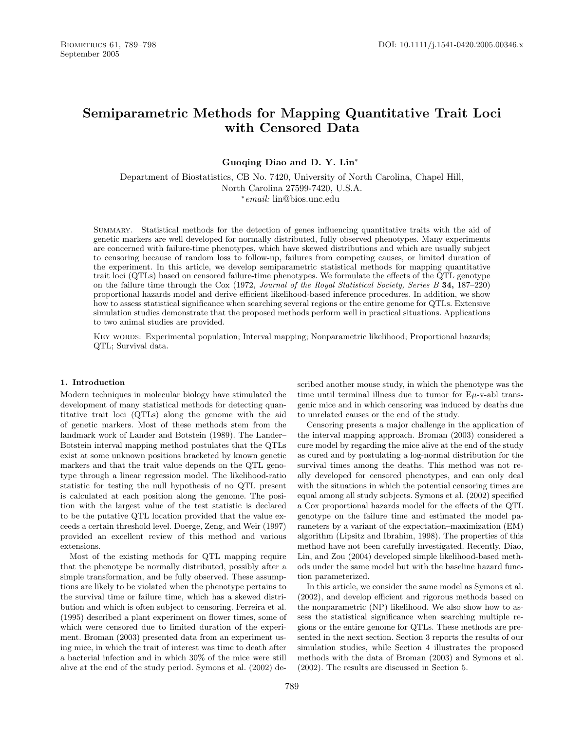# **Semiparametric Methods for Mapping Quantitative Trait Loci with Censored Data**

**Guoqing Diao and D. Y. Lin**<sup>∗</sup>

Department of Biostatistics, CB No. 7420, University of North Carolina, Chapel Hill, North Carolina 27599-7420, U.S.A. <sup>∗</sup>email: lin@bios.unc.edu

Summary. Statistical methods for the detection of genes influencing quantitative traits with the aid of genetic markers are well developed for normally distributed, fully observed phenotypes. Many experiments are concerned with failure-time phenotypes, which have skewed distributions and which are usually subject to censoring because of random loss to follow-up, failures from competing causes, or limited duration of the experiment. In this article, we develop semiparametric statistical methods for mapping quantitative trait loci (QTLs) based on censored failure-time phenotypes. We formulate the effects of the QTL genotype on the failure time through the Cox (1972, Journal of the Royal Statistical Society, Series B **34,** 187–220) proportional hazards model and derive efficient likelihood-based inference procedures. In addition, we show how to assess statistical significance when searching several regions or the entire genome for QTLs. Extensive simulation studies demonstrate that the proposed methods perform well in practical situations. Applications to two animal studies are provided.

KEY WORDS: Experimental population; Interval mapping; Nonparametric likelihood; Proportional hazards; QTL; Survival data.

#### **1. Introduction**

Modern techniques in molecular biology have stimulated the development of many statistical methods for detecting quantitative trait loci (QTLs) along the genome with the aid of genetic markers. Most of these methods stem from the landmark work of Lander and Botstein (1989). The Lander– Botstein interval mapping method postulates that the QTLs exist at some unknown positions bracketed by known genetic markers and that the trait value depends on the QTL genotype through a linear regression model. The likelihood-ratio statistic for testing the null hypothesis of no QTL present is calculated at each position along the genome. The position with the largest value of the test statistic is declared to be the putative QTL location provided that the value exceeds a certain threshold level. Doerge, Zeng, and Weir (1997) provided an excellent review of this method and various extensions.

Most of the existing methods for QTL mapping require that the phenotype be normally distributed, possibly after a simple transformation, and be fully observed. These assumptions are likely to be violated when the phenotype pertains to the survival time or failure time, which has a skewed distribution and which is often subject to censoring. Ferreira et al. (1995) described a plant experiment on flower times, some of which were censored due to limited duration of the experiment. Broman (2003) presented data from an experiment using mice, in which the trait of interest was time to death after a bacterial infection and in which 30% of the mice were still alive at the end of the study period. Symons et al. (2002) de-

scribed another mouse study, in which the phenotype was the time until terminal illness due to tumor for  $E\mu$ -v-abl transgenic mice and in which censoring was induced by deaths due to unrelated causes or the end of the study.

Censoring presents a major challenge in the application of the interval mapping approach. Broman (2003) considered a cure model by regarding the mice alive at the end of the study as cured and by postulating a log-normal distribution for the survival times among the deaths. This method was not really developed for censored phenotypes, and can only deal with the situations in which the potential censoring times are equal among all study subjects. Symons et al. (2002) specified a Cox proportional hazards model for the effects of the QTL genotype on the failure time and estimated the model parameters by a variant of the expectation–maximization (EM) algorithm (Lipsitz and Ibrahim, 1998). The properties of this method have not been carefully investigated. Recently, Diao, Lin, and Zou (2004) developed simple likelihood-based methods under the same model but with the baseline hazard function parameterized.

In this article, we consider the same model as Symons et al. (2002), and develop efficient and rigorous methods based on the nonparametric (NP) likelihood. We also show how to assess the statistical significance when searching multiple regions or the entire genome for QTLs. These methods are presented in the next section. Section 3 reports the results of our simulation studies, while Section 4 illustrates the proposed methods with the data of Broman (2003) and Symons et al. (2002). The results are discussed in Section 5.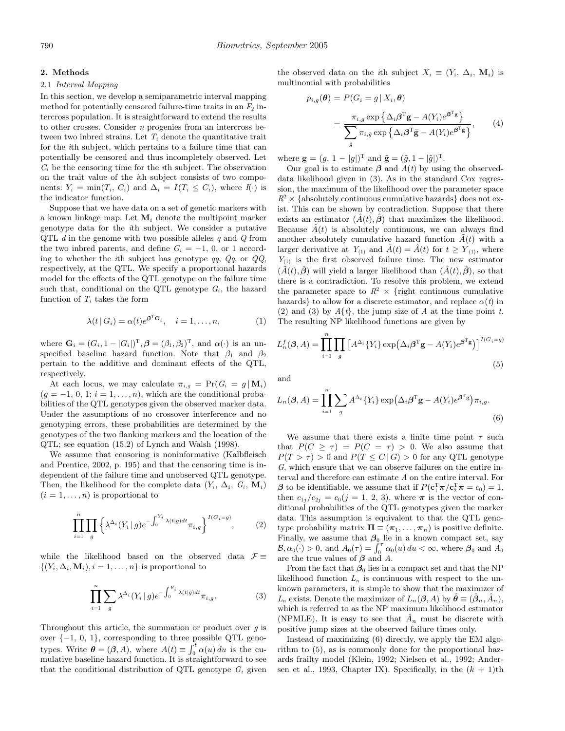#### **2. Methods**

#### 2.1 Interval Mapping

In this section, we develop a semiparametric interval mapping method for potentially censored failure-time traits in an  $F_2$  intercross population. It is straightforward to extend the results to other crosses. Consider  $n$  progenies from an intercross between two inbred strains. Let  $T_i$  denote the quantitative trait for the ith subject, which pertains to a failure time that can potentially be censored and thus incompletely observed. Let  $C_i$  be the censoring time for the *i*th subject. The observation on the trait value of the ith subject consists of two components:  $Y_i = \min(T_i, C_i)$  and  $\Delta_i = I(T_i \leq C_i)$ , where  $I(\cdot)$  is the indicator function.

Suppose that we have data on a set of genetic markers with a known linkage map. Let  $M_i$  denote the multipoint marker genotype data for the ith subject. We consider a putative QTL  $d$  in the genome with two possible alleles  $q$  and  $Q$  from the two indred parents, and define  $G_i = -1$ , 0, or 1 according to whether the ith subject has genotype  $qq$ ,  $Qq$ , or  $QQ$ , respectively, at the QTL. We specify a proportional hazards model for the effects of the QTL genotype on the failure time such that, conditional on the QTL genotype  $G_i$ , the hazard function of  $T_i$  takes the form

$$
\lambda(t \mid G_i) = \alpha(t) e^{\beta^{\mathrm{T}} G_i}, \quad i = 1, \dots, n,
$$
 (1)

where  $\mathbf{G}_i = (G_i, 1 - |G_i|)^{\mathrm{T}}, \boldsymbol{\beta} = (\beta_1, \beta_2)^{\mathrm{T}}, \text{ and } \alpha(\cdot)$  is an unspecified baseline hazard function. Note that  $\beta_1$  and  $\beta_2$ pertain to the additive and dominant effects of the QTL, respectively.

At each locus, we may calculate  $\pi_{i,q} = \Pr(G_i = g | \mathbf{M}_i)$  $(g = -1, 0, 1; i = 1, \ldots, n)$ , which are the conditional probabilities of the QTL genotypes given the observed marker data. Under the assumptions of no crossover interference and no genotyping errors, these probabilities are determined by the genotypes of the two flanking markers and the location of the QTL; see equation (15.2) of Lynch and Walsh (1998).

We assume that censoring is noninformative (Kalbfleisch and Prentice, 2002, p. 195) and that the censoring time is independent of the failure time and unobserved QTL genotype. Then, the likelihood for the complete data  $(Y_i, \Delta_i, G_i, \mathbf{M}_i)$  $(i = 1, \ldots, n)$  is proportional to

$$
\prod_{i=1}^{n} \prod_{g} \left\{ \lambda^{\Delta_i} (Y_i \mid g) e^{-\int_0^{Y_i} \lambda(t \mid g) dt} \pi_{i,g} \right\}^{I(G_i = g)}, \tag{2}
$$

while the likelihood based on the observed data  $\mathcal{F} \equiv$  $\{(Y_i, \Delta_i, \mathbf{M}_i), i = 1, \ldots, n\}$  is proportional to

$$
\prod_{i=1}^{n} \sum_{g} \lambda^{\Delta_i} (Y_i \mid g) e^{-\int_0^{Y_i} \lambda(t \mid g) dt} \pi_{i,g}.
$$
 (3)

Throughout this article, the summation or product over  $g$  is over {−1, 0, 1}, corresponding to three possible QTL genotypes. Write  $\boldsymbol{\theta} = (\boldsymbol{\beta}, A)$ , where  $A(t) \equiv \int_0^t \alpha(u) du$  is the cumulative baseline hazard function. It is straightforward to see that the conditional distribution of QTL genotype  $G_i$  given the observed data on the ith subject  $X_i \equiv (Y_i, \Delta_i, \mathbf{M}_i)$  is multinomial with probabilities

$$
p_{i,g}(\boldsymbol{\theta}) = P(G_i = g | X_i, \boldsymbol{\theta})
$$
  
= 
$$
\frac{\pi_{i,g} \exp \{ \Delta_i \boldsymbol{\beta}^{\mathrm{T}} \mathbf{g} - A(Y_i) e^{\boldsymbol{\beta}^{\mathrm{T}} \mathbf{g}} \}}{\sum_{\tilde{g}} \pi_{i,\tilde{g}} \exp \{ \Delta_i \boldsymbol{\beta}^{\mathrm{T}} \tilde{\mathbf{g}} - A(Y_i) e^{\boldsymbol{\beta}^{\mathrm{T}} \tilde{\mathbf{g}} } \}},
$$
(4)

where  $\mathbf{g} = (g, 1 - |g|)^{\mathrm{T}}$  and  $\tilde{\mathbf{g}} = (\tilde{g}, 1 - |\tilde{g}|)^{\mathrm{T}}$ .

Our goal is to estimate  $\beta$  and  $A(t)$  by using the observeddata likelihood given in (3). As in the standard Cox regression, the maximum of the likelihood over the parameter space  $R^2 \times \{\text{absolutely continuous cumulative hazards}\}\}\$ does not exist. This can be shown by contradiction. Suppose that there exists an estimator  $(\hat{A}(t), \hat{\beta})$  that maximizes the likelihood. Because  $\tilde{A}(t)$  is absolutely continuous, we can always find another absolutely cumulative hazard function  $\tilde{A}(t)$  with a larger derivative at  $Y_{(1)}$  and  $\tilde{A}(t) = \hat{A}(t)$  for  $t \geq Y_{(1)}$ , where  $Y_{(1)}$  is the first observed failure time. The new estimator  $(\tilde{A}(t), \hat{\boldsymbol{\beta}})$  will yield a larger likelihood than  $(\hat{A}(t), \hat{\boldsymbol{\beta}})$ , so that there is a contradiction. To resolve this problem, we extend the parameter space to  $R^2 \times \{$ right continuous cumulative hazards} to allow for a discrete estimator, and replace  $\alpha(t)$  in (2) and (3) by  $A\{t\}$ , the jump size of A at the time point t. The resulting NP likelihood functions are given by

$$
L_n^f(\boldsymbol{\beta}, A) = \prod_{i=1}^n \prod_g \left[ A^{\Delta_i} \{ Y_i \} \exp \left( \Delta_i \boldsymbol{\beta}^{\mathrm{T}} \mathbf{g} - A(Y_i) e^{\boldsymbol{\beta}^{\mathrm{T}} \mathbf{g}} \right) \right]^{I(G_i = g)}
$$
\n(5)

and

$$
L_n(\boldsymbol{\beta}, A) = \prod_{i=1}^n \sum_g A^{\Delta_i} \{ Y_i \} \exp\left(\Delta_i \boldsymbol{\beta}^{\mathrm{T}} \mathbf{g} - A(Y_i) e^{\boldsymbol{\beta}^{\mathrm{T}} \mathbf{g}}\right) \pi_{i,g}.
$$
\n(6)

We assume that there exists a finite time point  $\tau$  such that  $P(C \geq \tau) = P(C = \tau) > 0$ . We also assume that  $P(T > \tau) > 0$  and  $P(T \leq C | G) > 0$  for any QTL genotype G, which ensure that we can observe failures on the entire interval and therefore can estimate A on the entire interval. For  $\beta$  to be identifiable, we assume that if  $P(\mathbf{c}_1^{\mathrm{T}} \boldsymbol{\pi}/\mathbf{c}_2^{\mathrm{T}} \boldsymbol{\pi} = c_0) = 1$ , then  $c_{1j}/c_{2j} = c_0(j = 1, 2, 3)$ , where  $\pi$  is the vector of conditional probabilities of the QTL genotypes given the marker data. This assumption is equivalent to that the QTL genotype probability matrix  $\Pi \equiv (\pi_1, \ldots, \pi_n)$  is positive definite. Finally, we assume that  $\beta_0$  lie in a known compact set, say  $\mathcal{B}, \alpha_0(\cdot) > 0$ , and  $A_0(\tau) = \int_0^{\tau} \alpha_0(u) du < \infty$ , where  $\beta_0$  and  $A_0$ are the true values of *β* and A.

From the fact that  $\beta_0$  lies in a compact set and that the NP likelihood function  $L_n$  is continuous with respect to the unknown parameters, it is simple to show that the maximizer of L<sub>n</sub> exists. Denote the maximizer of  $L_n(\beta, A)$  by  $\theta \equiv (\beta_n, \tilde{A}_n)$ , which is referred to as the NP maximum likelihood estimator (NPMLE). It is easy to see that  $A_n$  must be discrete with positive jump sizes at the observed failure times only.

Instead of maximizing (6) directly, we apply the EM algorithm to (5), as is commonly done for the proportional hazards frailty model (Klein, 1992; Nielsen et al., 1992; Andersen et al., 1993, Chapter IX). Specifically, in the  $(k + 1)$ th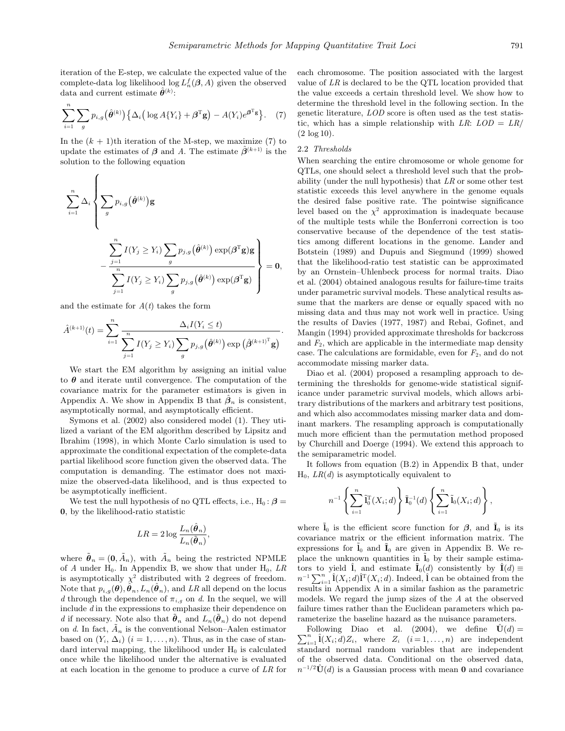.

iteration of the E-step, we calculate the expected value of the complete-data log likelihood log  $L_n^f(\beta, A)$  given the observed data and current estimate  $\hat{\theta}^{(k)}$ :

$$
\sum_{i=1}^{n} \sum_{g} p_{i,g}(\hat{\theta}^{(k)}) \left\{ \Delta_i \left( \log A \{ Y_i \} + \boldsymbol{\beta}^{\mathrm{T}} \mathbf{g} \right) - A(Y_i) e^{\boldsymbol{\beta}^{\mathrm{T}} \mathbf{g}} \right\}.
$$
 (7)

In the  $(k + 1)$ th iteration of the M-step, we maximize (7) to update the estimates of  $\beta$  and A. The estimate  $\hat{\beta}^{(k+1)}$  is the solution to the following equation

$$
\sum_{i=1}^{n} \Delta_i \left\{ \sum_{g} p_{i,g}(\hat{\theta}^{(k)}) \mathbf{g} - \frac{\sum_{j=1}^{n} I(Y_j \ge Y_i) \sum_{g} p_{j,g}(\hat{\theta}^{(k)}) \exp(\boldsymbol{\beta}^{\mathrm{T}} \mathbf{g}) \mathbf{g}}{\sum_{j=1}^{n} I(Y_j \ge Y_i) \sum_{g} p_{j,g}(\hat{\theta}^{(k)}) \exp(\boldsymbol{\beta}^{\mathrm{T}} \mathbf{g})} \right\} = \mathbf{0},
$$

and the estimate for  $A(t)$  takes the form

$$
\hat{A}^{(k+1)}(t) = \sum_{i=1}^{n} \frac{\Delta_i I(Y_i \leq t)}{\sum_{j=1}^{n} I(Y_j \geq Y_i) \sum_{g} p_{j,g}(\hat{\boldsymbol{\theta}}^{(k)}) \exp(\hat{\boldsymbol{\beta}}^{(k+1)^T} \mathbf{g})}
$$

We start the EM algorithm by assigning an initial value to  $\theta$  and iterate until convergence. The computation of the covariance matrix for the parameter estimators is given in Appendix A. We show in Appendix B that  $\hat{\beta}_n$  is consistent, asymptotically normal, and asymptotically efficient.

Symons et al. (2002) also considered model (1). They utilized a variant of the EM algorithm described by Lipsitz and Ibrahim (1998), in which Monte Carlo simulation is used to approximate the conditional expectation of the complete-data partial likelihood score function given the observed data. The computation is demanding. The estimator does not maximize the observed-data likelihood, and is thus expected to be asymptotically inefficient.

We test the null hypothesis of no QTL effects, i.e.,  $H_0: \beta =$ **0**, by the likelihood-ratio statistic

$$
LR = 2\log \frac{L_n(\hat{\boldsymbol{\theta}}_n)}{L_n(\tilde{\boldsymbol{\theta}}_n)},
$$

where  $\tilde{\boldsymbol{\theta}}_n = (0, \tilde{A}_n)$ , with  $\tilde{A}_n$  being the restricted NPMLE of A under  $H_0$ . In Appendix B, we show that under  $H_0$ , LR is asymptotically  $\chi^2$  distributed with 2 degrees of freedom. Note that  $p_{i,g}(\theta), \hat{\theta}_n, L_n(\hat{\theta}_n)$ , and LR all depend on the locus d through the dependence of  $\pi_{i,g}$  on d. In the sequel, we will include  $d$  in the expressions to emphasize their dependence on d if necessary. Note also that  $\tilde{\boldsymbol{\theta}}_n$  and  $L_n(\tilde{\boldsymbol{\theta}}_n)$  do not depend on d. In fact,  $\tilde{A}_n$  is the conventional Nelson–Aalen estimator based on  $(Y_i, \Delta_i)$   $(i = 1, \ldots, n)$ . Thus, as in the case of standard interval mapping, the likelihood under  $H_0$  is calculated once while the likelihood under the alternative is evaluated at each location in the genome to produce a curve of LR for

each chromosome. The position associated with the largest value of LR is declared to be the QTL location provided that the value exceeds a certain threshold level. We show how to determine the threshold level in the following section. In the genetic literature, LOD score is often used as the test statistic, which has a simple relationship with LR:  $LOD = LR/$ (2 log 10).

## 2.2 Thresholds

When searching the entire chromosome or whole genome for QTLs, one should select a threshold level such that the probability (under the null hypothesis) that  $LR$  or some other test statistic exceeds this level anywhere in the genome equals the desired false positive rate. The pointwise significance level based on the  $\chi^2$  approximation is inadequate because of the multiple tests while the Bonferroni correction is too conservative because of the dependence of the test statistics among different locations in the genome. Lander and Botstein (1989) and Dupuis and Siegmund (1999) showed that the likelihood-ratio test statistic can be approximated by an Ornstein–Uhlenbeck process for normal traits. Diao et al. (2004) obtained analogous results for failure-time traits under parametric survival models. These analytical results assume that the markers are dense or equally spaced with no missing data and thus may not work well in practice. Using the results of Davies (1977, 1987) and Rebai, Gofinet, and Mangin (1994) provided approximate thresholds for backcross and  $F_2$ , which are applicable in the intermediate map density case. The calculations are formidable, even for  $F_2$ , and do not accommodate missing marker data.

Diao et al. (2004) proposed a resampling approach to determining the thresholds for genome-wide statistical significance under parametric survival models, which allows arbitrary distributions of the markers and arbitrary test positions, and which also accommodates missing marker data and dominant markers. The resampling approach is computationally much more efficient than the permutation method proposed by Churchill and Doerge (1994). We extend this approach to the semiparametric model.

It follows from equation (B.2) in Appendix B that, under  $H_0$ ,  $LR(d)$  is asymptotically equivalent to

$$
n^{-1}\left\{\sum_{i=1}^n\tilde{\mathbf{l}}_0^{\rm T}(X_i;d)\right\}\tilde{\mathbf{l}}_0^{-1}(d)\left\{\sum_{i=1}^n\tilde{\mathbf{l}}_0(X_i;d)\right\},\,
$$

where  $\tilde{\mathbf{l}}_0$  is the efficient score function for  $\beta$ , and  $\tilde{\mathbf{l}}_0$  is its covariance matrix or the efficient information matrix. The expressions for  $\tilde{\mathbf{l}}_0$  and  $\tilde{\mathbf{l}}_0$  are given in Appendix B. We replace the unknown quantities in  $\tilde{\mathbf{l}}_0$  by their sample estimators to yield  $\hat{\mathbf{l}}$ , and estimate  $\tilde{\mathbf{I}}_0(d)$  consistently by  $\hat{\mathbf{I}}(d) \equiv$  $n^{-1} \sum_{i=1}^{n} \hat{\mathbf{I}}(X_i; d) \hat{\mathbf{I}}^{\mathrm{T}}(X_i; d)$ . Indeed,  $\hat{\mathbf{I}}$  can be obtained from the results in Appendix A in a similar fashion as the parametric models. We regard the jump sizes of the A at the observed failure times rather than the Euclidean parameters which parameterize the baseline hazard as the nuisance parameters.

 $\sum_{i=1}^{n} \hat{\mathbf{l}}(X_i; d)Z_i$ , where  $Z_i$   $(i = 1, ..., n)$  are independent Following Diao et al. (2004), we define  $\hat{\mathbf{U}}(d) =$ standard normal random variables that are independent of the observed data. Conditional on the observed data,  $n^{-1/2}U(d)$  is a Gaussian process with mean **0** and covariance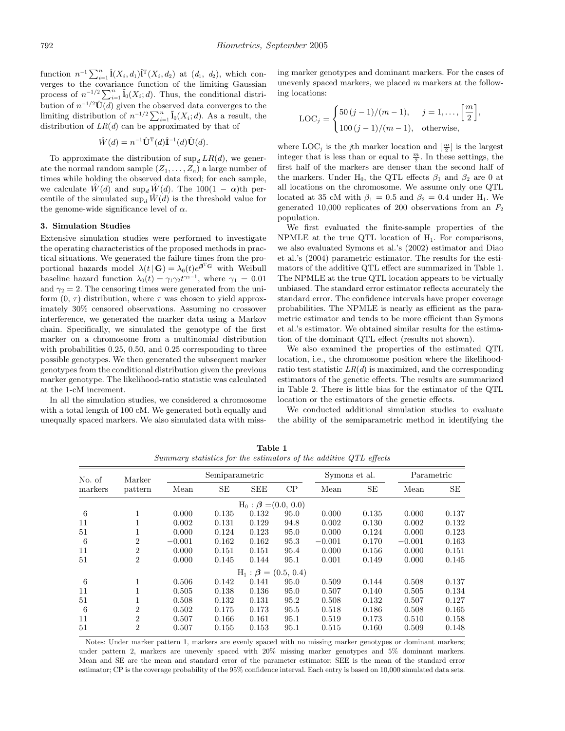function  $n^{-1} \sum_{i=1}^{n} \hat{\mathbf{I}}(X_i, d_1) \hat{\mathbf{I}}^{\mathsf{T}}(X_i, d_2)$  at  $(d_1, d_2)$ , which converges to the covariance function of the limiting Gaussian process of  $n^{-1/2} \sum_{i=1}^{n} \tilde{I}_0(X_i; d)$ . Thus, the conditional distribution of  $n^{-1/2}\hat{\mathbf{U}}(d)$  given the observed data converges to the limiting distribution of  $n^{-1/2} \sum_{i=1}^{n} \tilde{I}_0(X_i; d)$ . As a result, the distribution of  $LR(d)$  can be approximated by that of

$$
\hat{W}(d) = n^{-1} \hat{\mathbf{U}}^{\mathrm{T}}(d) \hat{\mathbf{I}}^{-1}(d) \hat{\mathbf{U}}(d).
$$

To approximate the distribution of  $\sup_d LR(d)$ , we generate the normal random sample  $(Z_1, \ldots, Z_n)$  a large number of times while holding the observed data fixed; for each sample, we calculate  $\hat{W}(d)$  and  $\sup_d \hat{W}(d)$ . The 100(1 –  $\alpha$ )th percentile of the simulated  $\sup_d \hat{W}(d)$  is the threshold value for the genome-wide significance level of  $\alpha$ .

#### **3. Simulation Studies**

Extensive simulation studies were performed to investigate the operating characteristics of the proposed methods in practical situations. We generated the failure times from the proportional hazards model  $\lambda(t|\mathbf{G}) = \lambda_0(t)e^{\boldsymbol{\beta}^{\mathrm{T}}\mathbf{G}}$  with Weibull baseline hazard function  $\lambda_0(t) = \gamma_1 \gamma_2 t^{\gamma_2 - 1}$ , where  $\gamma_1 = 0.01$ and  $\gamma_2 = 2$ . The censoring times were generated from the uniform  $(0, \tau)$  distribution, where  $\tau$  was chosen to yield approximately 30% censored observations. Assuming no crossover interference, we generated the marker data using a Markov chain. Specifically, we simulated the genotype of the first marker on a chromosome from a multinomial distribution with probabilities 0.25, 0.50, and 0.25 corresponding to three possible genotypes. We then generated the subsequent marker genotypes from the conditional distribution given the previous marker genotype. The likelihood-ratio statistic was calculated at the 1-cM increment.

In all the simulation studies, we considered a chromosome with a total length of 100 cM. We generated both equally and unequally spaced markers. We also simulated data with missing marker genotypes and dominant markers. For the cases of unevenly spaced markers, we placed m markers at the following locations:

$$
LOC_j = \begin{cases} 50 (j - 1)/(m - 1), & j = 1, ..., \left[\frac{m}{2}\right], \\ 100 (j - 1)/(m - 1), & \text{otherwise}, \end{cases}
$$

where  $\mathrm{LOC}_j$  is the *j*th marker location and  $\left[\frac{m}{2}\right]$  is the largest integer that is less than or equal to  $\frac{m}{2}$ . In these settings, the first half of the markers are denser than the second half of the markers. Under H<sub>0</sub>, the QTL effects  $\beta_1$  and  $\beta_2$  are 0 at all locations on the chromosome. We assume only one QTL located at 35 cM with  $\beta_1 = 0.5$  and  $\beta_2 = 0.4$  under H<sub>1</sub>. We generated 10,000 replicates of 200 observations from an  $F_2$ population.

We first evaluated the finite-sample properties of the NPMLE at the true QTL location of  $H_1$ . For comparisons, we also evaluated Symons et al.'s (2002) estimator and Diao et al.'s (2004) parametric estimator. The results for the estimators of the additive QTL effect are summarized in Table 1. The NPMLE at the true QTL location appears to be virtually unbiased. The standard error estimator reflects accurately the standard error. The confidence intervals have proper coverage probabilities. The NPMLE is nearly as efficient as the parametric estimator and tends to be more efficient than Symons et al.'s estimator. We obtained similar results for the estimation of the dominant QTL effect (results not shown).

We also examined the properties of the estimated QTL location, i.e., the chromosome position where the likelihoodratio test statistic  $LR(d)$  is maximized, and the corresponding estimators of the genetic effects. The results are summarized in Table 2. There is little bias for the estimator of the QTL location or the estimators of the genetic effects.

We conducted additional simulation studies to evaluate the ability of the semiparametric method in identifying the

| No. of  | Marker         |          | Semiparametric |                                           |      | Symons et al. |       | Parametric |       |  |
|---------|----------------|----------|----------------|-------------------------------------------|------|---------------|-------|------------|-------|--|
| markers | pattern        | Mean     | SE             | <b>SEE</b>                                | CP   | Mean          | SE    | Mean       | SE    |  |
|         |                |          |                | $H_0$ : $\boldsymbol{\beta} = (0.0, 0.0)$ |      |               |       |            |       |  |
| 6       | 1              | 0.000    | 0.135          | 0.132                                     | 95.0 | 0.000         | 0.135 | 0.000      | 0.137 |  |
| 11      | 1              | 0.002    | 0.131          | 0.129                                     | 94.8 | 0.002         | 0.130 | 0.002      | 0.132 |  |
| 51      | T              | 0.000    | 0.124          | 0.123                                     | 95.0 | 0.000         | 0.124 | 0.000      | 0.123 |  |
| 6       | 2              | $-0.001$ | 0.162          | 0.162                                     | 95.3 | $-0.001$      | 0.170 | $-0.001$   | 0.163 |  |
| 11      | $\overline{2}$ | 0.000    | 0.151          | 0.151                                     | 95.4 | 0.000         | 0.156 | 0.000      | 0.151 |  |
| 51      | $\overline{2}$ | 0.000    | 0.145          | 0.144                                     | 95.1 | 0.001         | 0.149 | 0.000      | 0.145 |  |
|         |                |          |                | $H_1: \mathcal{B} = (0.5, 0.4)$           |      |               |       |            |       |  |
| 6       | 1              | 0.506    | 0.142          | 0.141                                     | 95.0 | 0.509         | 0.144 | 0.508      | 0.137 |  |
| 11      |                | 0.505    | 0.138          | 0.136                                     | 95.0 | 0.507         | 0.140 | 0.505      | 0.134 |  |
| 51      | T.             | 0.508    | 0.132          | 0.131                                     | 95.2 | 0.508         | 0.132 | 0.507      | 0.127 |  |
| 6       | 2              | 0.502    | 0.175          | 0.173                                     | 95.5 | 0.518         | 0.186 | 0.508      | 0.165 |  |
| 11      | $\overline{2}$ | 0.507    | 0.166          | 0.161                                     | 95.1 | 0.519         | 0.173 | 0.510      | 0.158 |  |
| 51      | $\overline{2}$ | 0.507    | 0.155          | 0.153                                     | 95.1 | 0.515         | 0.160 | 0.509      | 0.148 |  |

**Table 1** Summary statistics for the estimators of the additive QTL effects

Notes: Under marker pattern 1, markers are evenly spaced with no missing marker genotypes or dominant markers; under pattern 2, markers are unevenly spaced with 20% missing marker genotypes and 5% dominant markers. Mean and SE are the mean and standard error of the parameter estimator; SEE is the mean of the standard error estimator; CP is the coverage probability of the 95% confidence interval. Each entry is based on 10,000 simulated data sets.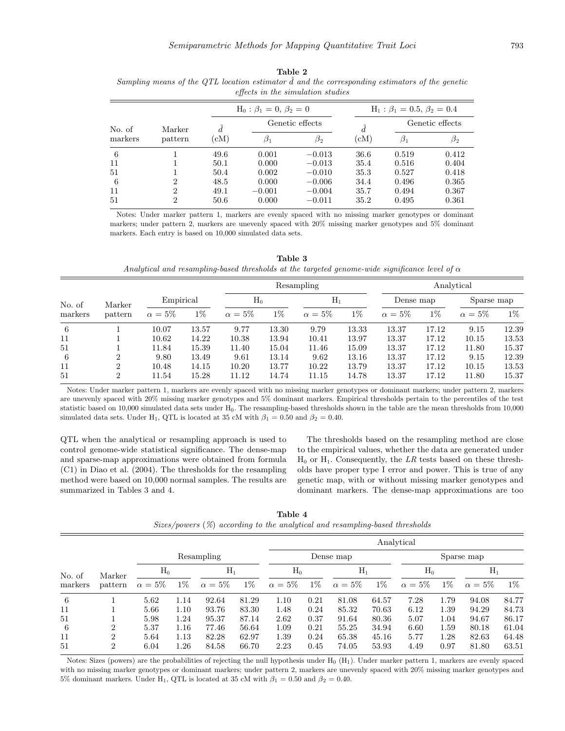| effects in the simulation studies |         |      |                                 |                 |                                           |                 |           |  |  |  |  |
|-----------------------------------|---------|------|---------------------------------|-----------------|-------------------------------------------|-----------------|-----------|--|--|--|--|
|                                   |         |      | $H_0: \beta_1 = 0, \beta_2 = 0$ |                 | $H_1$ : $\beta_1 = 0.5$ , $\beta_2 = 0.4$ |                 |           |  |  |  |  |
| No. of<br>markers                 | Marker  | d.   |                                 | Genetic effects | $\overline{d}$                            | Genetic effects |           |  |  |  |  |
|                                   | pattern | (cM) | $\beta_1$                       | $\beta_2$       | $\rm (cM)$                                | $\beta_1$       | $\beta_2$ |  |  |  |  |
| -6                                |         | 49.6 | 0.001                           | $-0.013$        | 36.6                                      | 0.519           | 0.412     |  |  |  |  |
| 11                                |         | 50.1 | 0.000                           | $-0.013$        | 35.4                                      | 0.516           | 0.404     |  |  |  |  |
| 51                                |         | 50.4 | 0.002                           | $-0.010$        | 35.3                                      | 0.527           | 0.418     |  |  |  |  |
| -6                                | 2       | 48.5 | 0.000                           | $-0.006$        | 34.4                                      | 0.496           | 0.365     |  |  |  |  |
| 11                                | 2       | 49.1 | $-0.001$                        | $-0.004$        | 35.7                                      | 0.494           | 0.367     |  |  |  |  |
| 51                                | 2       | 50.6 | 0.000                           | $-0.011$        | 35.2                                      | 0.495           | 0.361     |  |  |  |  |

**Table 2** Sampling means of the QTL location estimator  $\hat{d}$  and the corresponding estimators of the genetic

Notes: Under marker pattern 1, markers are evenly spaced with no missing marker genotypes or dominant markers; under pattern 2, markers are unevenly spaced with 20% missing marker genotypes and 5% dominant markers. Each entry is based on 10,000 simulated data sets.

**Table 3** Analytical and resampling-based thresholds at the targeted genome-wide significance level of  $\alpha$ 

| No. of<br>markers |        |         |              |       |              | Resampling |              | Analytical |              |       |              |       |
|-------------------|--------|---------|--------------|-------|--------------|------------|--------------|------------|--------------|-------|--------------|-------|
|                   | Marker |         | Empirical    |       | $H_0$        |            | $H_1$        |            | Dense map    |       | Sparse map   |       |
|                   |        | pattern | $\alpha=5\%$ | $1\%$ | $\alpha=5\%$ | $1\%$      | $\alpha=5\%$ | $1\%$      | $\alpha=5\%$ | $1\%$ | $\alpha=5\%$ | $1\%$ |
| 6                 |        | 10.07   | 13.57        | 9.77  | 13.30        | 9.79       | 13.33        | 13.37      | 17.12        | 9.15  | 12.39        |       |
| 11                |        | 10.62   | 14.22        | 10.38 | 13.94        | 10.41      | 13.97        | 13.37      | 17.12        | 10.15 | 13.53        |       |
| 51                |        | 11.84   | 15.39        | 11.40 | 15.04        | 11.46      | 15.09        | 13.37      | 17.12        | 11.80 | 15.37        |       |
| 6                 |        | 9.80    | 13.49        | 9.61  | 13.14        | 9.62       | 13.16        | 13.37      | 17.12        | 9.15  | 12.39        |       |
| 11                | 2      | 10.48   | 14.15        | 10.20 | 13.77        | 10.22      | 13.79        | 13.37      | 17.12        | 10.15 | 13.53        |       |
| 51                | 2      | 11.54   | 15.28        | 11.12 | 14.74        | 11.15      | 14.78        | 13.37      | 17.12        | 11.80 | 15.37        |       |

Notes: Under marker pattern 1, markers are evenly spaced with no missing marker genotypes or dominant markers; under pattern 2, markers are unevenly spaced with 20% missing marker genotypes and 5% dominant markers. Empirical thresholds pertain to the percentiles of the test statistic based on 10,000 simulated data sets under H0. The resampling-based thresholds shown in the table are the mean thresholds from 10,000 simulated data sets. Under H<sub>1</sub>, QTL is located at 35 cM with  $\beta_1 = 0.50$  and  $\beta_2 = 0.40$ .

QTL when the analytical or resampling approach is used to control genome-wide statistical significance. The dense-map and sparse-map approximations were obtained from formula (C1) in Diao et al. (2004). The thresholds for the resampling method were based on 10,000 normal samples. The results are summarized in Tables 3 and 4.

The thresholds based on the resampling method are close to the empirical values, whether the data are generated under  $H_0$  or  $H_1$ . Consequently, the LR tests based on these thresholds have proper type I error and power. This is true of any genetic map, with or without missing marker genotypes and dominant markers. The dense-map approximations are too

**Table 4** Sizes/powers (%) according to the analytical and resampling-based thresholds

|         |                |              |       |              |       | Analytical   |       |              |       |              |       |                |       |  |  |
|---------|----------------|--------------|-------|--------------|-------|--------------|-------|--------------|-------|--------------|-------|----------------|-------|--|--|
| No. of  |                |              |       | Resampling   |       |              |       | Dense map    |       |              |       | Sparse map     |       |  |  |
|         | Marker         | $H_0$        | $H_1$ |              |       |              | $H_0$ |              | $H_1$ |              | $H_0$ |                | $H_1$ |  |  |
| markers | pattern        | $\alpha=5\%$ | $1\%$ | $\alpha=5\%$ | $1\%$ | $\alpha=5\%$ | $1\%$ | $\alpha=5\%$ | $1\%$ | $\alpha=5\%$ | $1\%$ | $\alpha = 5\%$ | $1\%$ |  |  |
| 6       |                | 5.62         | 1.14  | 92.64        | 81.29 | 1.10         | 0.21  | 81.08        | 64.57 | 7.28         | 1.79  | 94.08          | 84.77 |  |  |
| 11      |                | 5.66         | 1.10  | 93.76        | 83.30 | 1.48         | 0.24  | 85.32        | 70.63 | 6.12         | 1.39  | 94.29          | 84.73 |  |  |
| 51      |                | 5.98         | 1.24  | 95.37        | 87.14 | 2.62         | 0.37  | 91.64        | 80.36 | 5.07         | 1.04  | 94.67          | 86.17 |  |  |
| 6       | 2              | 5.37         | 1.16  | 77.46        | 56.64 | 1.09         | 0.21  | 55.25        | 34.94 | 6.60         | 1.59  | 80.18          | 61.04 |  |  |
| 11      | 2              | 5.64         | 1.13  | 82.28        | 62.97 | 1.39         | 0.24  | 65.38        | 45.16 | 5.77         | 1.28  | 82.63          | 64.48 |  |  |
| 51      | $\overline{2}$ | 6.04         | 1.26  | 84.58        | 66.70 | 2.23         | 0.45  | 74.05        | 53.93 | 4.49         | 0.97  | 81.80          | 63.51 |  |  |

Notes: Sizes (powers) are the probabilities of rejecting the null hypothesis under  $H_0$  ( $H_1$ ). Under marker pattern 1, markers are evenly spaced with no missing marker genotypes or dominant markers; under pattern 2, markers are unevenly spaced with 20% missing marker genotypes and 5% dominant markers. Under H<sub>1</sub>, QTL is located at 35 cM with  $\beta_1 = 0.50$  and  $\beta_2 = 0.40$ .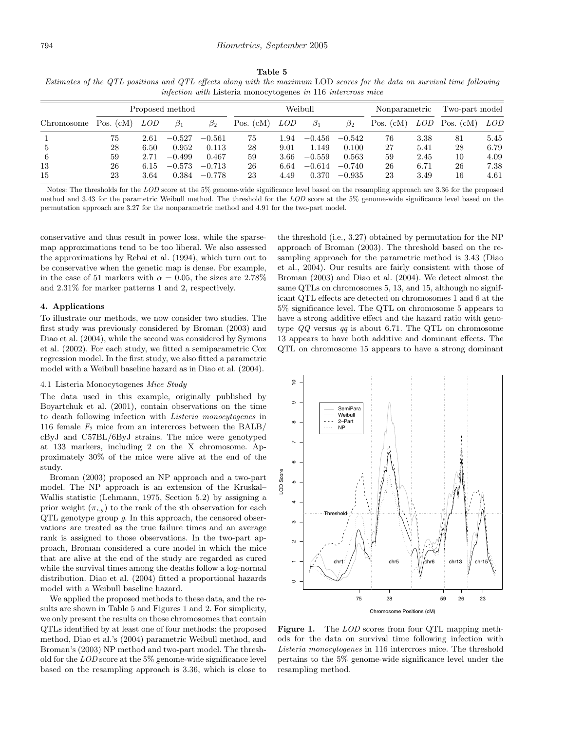## **Table 5** Estimates of the QTL positions and QTL effects along with the maximum LOD scores for the data on survival time following infection with Listeria monocytogenes in 116 intercross mice

|            |             |            | Proposed method |           |             | Weibull    |           | Nonparametric |             | Two-part model |             |      |
|------------|-------------|------------|-----------------|-----------|-------------|------------|-----------|---------------|-------------|----------------|-------------|------|
| Chromosome | Pos. $(cM)$ | <i>LOD</i> | $\beta_1$       | $\beta_2$ | Pos. $(cM)$ | <i>LOD</i> | $\beta_1$ | $\beta_2$     | Pos. $(cM)$ | LOD            | Pos. $(cM)$ | LOD  |
|            | 75          | 2.61       | $-0.527$        | $-0.561$  | 75          | 1.94       | $-0.456$  | $-0.542$      | 76          | 3.38           | 81          | 5.45 |
|            | 28          | 6.50       | 0.952           | 0.113     | 28          | 9.01       | 1.149     | 0.100         | 27          | 5.41           | 28          | 6.79 |
| -6         | 59          | 2.71       | $-0.499$        | 0.467     | 59          | 3.66       | $-0.559$  | 0.563         | 59          | 2.45           | 10          | 4.09 |
| 13         | 26          | 6.15       | $-0.573$        | $-0.713$  | 26          | 6.64       | $-0.614$  | $-0.740$      | 26          | 6.71           | 26          | 7.38 |
| 15         | 23          | 3.64       | 0.384           | $-0.778$  | 23          | 4.49       | 0.370     | $-0.935$      | 23          | 3.49           | 16          | 4.61 |

Notes: The thresholds for the LOD score at the 5% genome-wide significance level based on the resampling approach are 3.36 for the proposed method and 3.43 for the parametric Weibull method. The threshold for the LOD score at the 5% genome-wide significance level based on the permutation approach are 3.27 for the nonparametric method and 4.91 for the two-part model.

conservative and thus result in power loss, while the sparsemap approximations tend to be too liberal. We also assessed the approximations by Rebai et al. (1994), which turn out to be conservative when the genetic map is dense. For example, in the case of 51 markers with  $\alpha = 0.05$ , the sizes are 2.78% and 2.31% for marker patterns 1 and 2, respectively.

#### **4. Applications**

To illustrate our methods, we now consider two studies. The first study was previously considered by Broman (2003) and Diao et al. (2004), while the second was considered by Symons et al. (2002). For each study, we fitted a semiparametric Cox regression model. In the first study, we also fitted a parametric model with a Weibull baseline hazard as in Diao et al. (2004).

#### 4.1 Listeria Monocytogenes Mice Study

The data used in this example, originally published by Boyartchuk et al. (2001), contain observations on the time to death following infection with Listeria monocytogenes in 116 female  $F_2$  mice from an intercross between the BALB/ cByJ and C57BL/6ByJ strains. The mice were genotyped at 133 markers, including 2 on the X chromosome. Approximately 30% of the mice were alive at the end of the study.

Broman (2003) proposed an NP approach and a two-part model. The NP approach is an extension of the Kruskal– Wallis statistic (Lehmann, 1975, Section 5.2) by assigning a prior weight  $(\pi_{i,g})$  to the rank of the *i*th observation for each QTL genotype group g. In this approach, the censored observations are treated as the true failure times and an average rank is assigned to those observations. In the two-part approach, Broman considered a cure model in which the mice that are alive at the end of the study are regarded as cured while the survival times among the deaths follow a log-normal distribution. Diao et al. (2004) fitted a proportional hazards model with a Weibull baseline hazard.

We applied the proposed methods to these data, and the results are shown in Table 5 and Figures 1 and 2. For simplicity, we only present the results on those chromosomes that contain QTLs identified by at least one of four methods: the proposed method, Diao et al.'s (2004) parametric Weibull method, and Broman's (2003) NP method and two-part model. The threshold for the LOD score at the 5% genome-wide significance level based on the resampling approach is 3.36, which is close to the threshold (i.e., 3.27) obtained by permutation for the NP approach of Broman (2003). The threshold based on the resampling approach for the parametric method is 3.43 (Diao et al., 2004). Our results are fairly consistent with those of Broman (2003) and Diao et al. (2004). We detect almost the same QTLs on chromosomes 5, 13, and 15, although no significant QTL effects are detected on chromosomes 1 and 6 at the 5% significance level. The QTL on chromosome 5 appears to have a strong additive effect and the hazard ratio with genotype  $QQ$  versus qq is about 6.71. The QTL on chromosome 13 appears to have both additive and dominant effects. The QTL on chromosome 15 appears to have a strong dominant



Figure 1. The *LOD* scores from four QTL mapping methods for the data on survival time following infection with Listeria monocytogenes in 116 intercross mice. The threshold pertains to the 5% genome-wide significance level under the resampling method.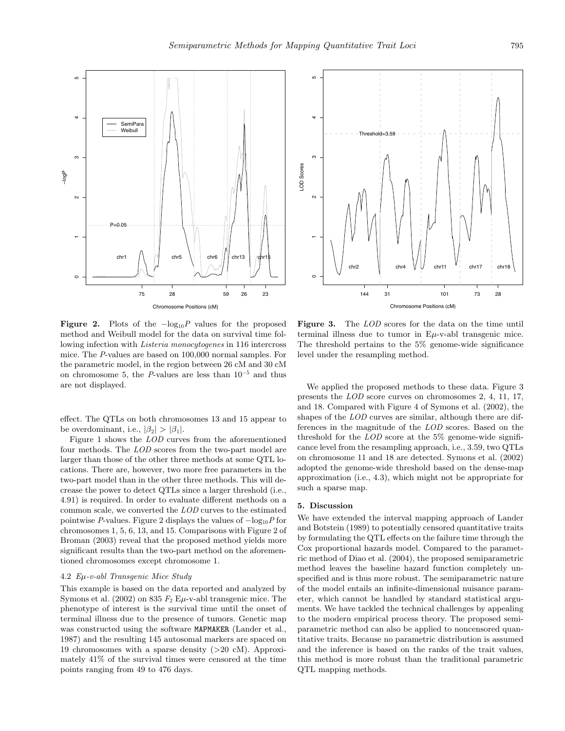

0<br>5<br>7<br>2<br>2<br>2<br>9<br>2<br>2<br>2<br>2<br>2<br>2<br>1<br>1<br><br><br>7 Threshold=3.59 ო LOD Scores LOD Scores chr2 || chr4 \J \J chr11 ' chr17 chr18  $\circ$ 144 31 101 73 28 Chromosome Positions (cM)

**Figure 2.** Plots of the  $-\log_{10}P$  values for the proposed method and Weibull model for the data on survival time following infection with Listeria monocytogenes in 116 intercross mice. The P-values are based on 100,000 normal samples. For the parametric model, in the region between 26 cM and 30 cM on chromosome 5, the P-values are less than  $10^{-5}$  and thus are not displayed.

effect. The QTLs on both chromosomes 13 and 15 appear to be overdominant, i.e.,  $|\beta_2| > |\beta_1|$ .

Figure 1 shows the LOD curves from the aforementioned four methods. The LOD scores from the two-part model are larger than those of the other three methods at some QTL locations. There are, however, two more free parameters in the two-part model than in the other three methods. This will decrease the power to detect QTLs since a larger threshold (i.e., 4.91) is required. In order to evaluate different methods on a common scale, we converted the LOD curves to the estimated pointwise P-values. Figure 2 displays the values of  $-\log_{10} P$  for chromosomes 1, 5, 6, 13, and 15. Comparisons with Figure 2 of Broman (2003) reveal that the proposed method yields more significant results than the two-part method on the aforementioned chromosomes except chromosome 1.

#### 4.2 Eµ-v-abl Transgenic Mice Study

This example is based on the data reported and analyzed by Symons et al. (2002) on 835  $F_2$  E $\mu$ -v-abl transgenic mice. The phenotype of interest is the survival time until the onset of terminal illness due to the presence of tumors. Genetic map was constructed using the software MAPMAKER (Lander et al., 1987) and the resulting 145 autosomal markers are spaced on 19 chromosomes with a sparse density (>20 cM). Approximately 41% of the survival times were censored at the time points ranging from 49 to 476 days.

Figure 3. The *LOD* scores for the data on the time until terminal illness due to tumor in  $E\mu$ -v-abl transgenic mice. The threshold pertains to the 5% genome-wide significance level under the resampling method.

We applied the proposed methods to these data. Figure 3 presents the LOD score curves on chromosomes 2, 4, 11, 17, and 18. Compared with Figure 4 of Symons et al. (2002), the shapes of the *LOD* curves are similar, although there are differences in the magnitude of the LOD scores. Based on the threshold for the  $LOD$  score at the  $5\%$  genome-wide significance level from the resampling approach, i.e., 3.59, two QTLs on chromosome 11 and 18 are detected. Symons et al. (2002) adopted the genome-wide threshold based on the dense-map approximation (i.e., 4.3), which might not be appropriate for such a sparse map.

#### **5. Discussion**

We have extended the interval mapping approach of Lander and Botstein (1989) to potentially censored quantitative traits by formulating the QTL effects on the failure time through the Cox proportional hazards model. Compared to the parametric method of Diao et al. (2004), the proposed semiparametric method leaves the baseline hazard function completely unspecified and is thus more robust. The semiparametric nature of the model entails an infinite-dimensional nuisance parameter, which cannot be handled by standard statistical arguments. We have tackled the technical challenges by appealing to the modern empirical process theory. The proposed semiparametric method can also be applied to noncensored quantitative traits. Because no parametric distribution is assumed and the inference is based on the ranks of the trait values, this method is more robust than the traditional parametric QTL mapping methods.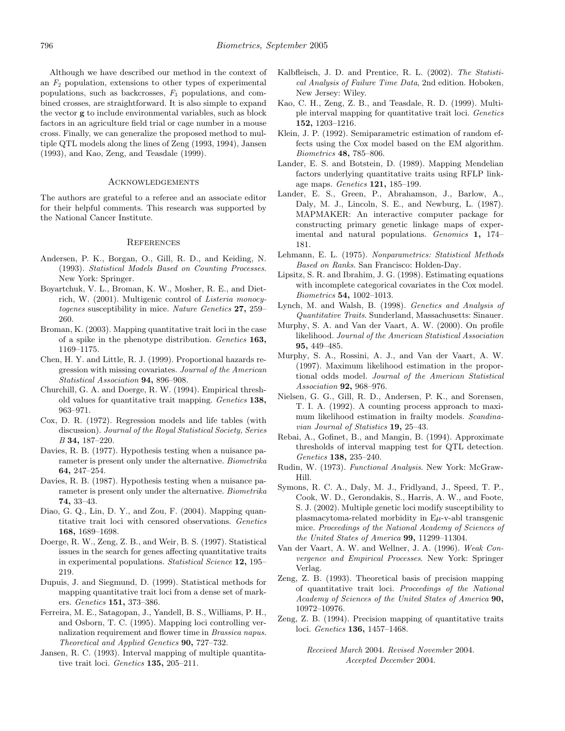Although we have described our method in the context of an  $F_2$  population, extensions to other types of experimental populations, such as backcrosses,  $F_3$  populations, and combined crosses, are straightforward. It is also simple to expand the vector **g** to include environmental variables, such as block factors in an agriculture field trial or cage number in a mouse cross. Finally, we can generalize the proposed method to multiple QTL models along the lines of Zeng (1993, 1994), Jansen (1993), and Kao, Zeng, and Teasdale (1999).

# Acknowledgements

The authors are grateful to a referee and an associate editor for their helpful comments. This research was supported by the National Cancer Institute.

# **REFERENCES**

- Andersen, P. K., Borgan, O., Gill, R. D., and Keiding, N. (1993). Statistical Models Based on Counting Processes. New York: Springer.
- Boyartchuk, V. L., Broman, K. W., Mosher, R. E., and Dietrich, W. (2001). Multigenic control of Listeria monocytogenes susceptibility in mice. Nature Genetics **27,** 259– 260.
- Broman, K. (2003). Mapping quantitative trait loci in the case of a spike in the phenotype distribution. Genetics **163,** 1169–1175.
- Chen, H. Y. and Little, R. J. (1999). Proportional hazards regression with missing covariates. Journal of the American Statistical Association **94,** 896–908.
- Churchill, G. A. and Doerge, R. W. (1994). Empirical threshold values for quantitative trait mapping. Genetics **138,** 963–971.
- Cox, D. R. (1972). Regression models and life tables (with discussion). Journal of the Royal Statistical Society, Series B **34,** 187–220.
- Davies, R. B. (1977). Hypothesis testing when a nuisance parameter is present only under the alternative. Biometrika **64,** 247–254.
- Davies, R. B. (1987). Hypothesis testing when a nuisance parameter is present only under the alternative. Biometrika **74,** 33–43.
- Diao, G. Q., Lin, D. Y., and Zou, F. (2004). Mapping quantitative trait loci with censored observations. Genetics **168,** 1689–1698.
- Doerge, R. W., Zeng, Z. B., and Weir, B. S. (1997). Statistical issues in the search for genes affecting quantitative traits in experimental populations. Statistical Science **12,** 195– 219.
- Dupuis, J. and Siegmund, D. (1999). Statistical methods for mapping quantitative trait loci from a dense set of markers. Genetics **151,** 373–386.
- Ferreira, M. E., Satagopan, J., Yandell, B. S., Williams, P. H., and Osborn, T. C. (1995). Mapping loci controlling vernalization requirement and flower time in Brassica napus. Theoretical and Applied Genetics **90,** 727–732.
- Jansen, R. C. (1993). Interval mapping of multiple quantitative trait loci. Genetics **135,** 205–211.
- Kalbfleisch, J. D. and Prentice, R. L. (2002). The Statistical Analysis of Failure Time Data, 2nd edition. Hoboken, New Jersey: Wiley.
- Kao, C. H., Zeng, Z. B., and Teasdale, R. D. (1999). Multiple interval mapping for quantitative trait loci. Genetics **152,** 1203–1216.
- Klein, J. P. (1992). Semiparametric estimation of random effects using the Cox model based on the EM algorithm. Biometrics **48,** 785–806.
- Lander, E. S. and Botstein, D. (1989). Mapping Mendelian factors underlying quantitative traits using RFLP linkage maps. Genetics **121,** 185–199.
- Lander, E. S., Green, P., Abrahamson, J., Barlow, A., Daly, M. J., Lincoln, S. E., and Newburg, L. (1987). MAPMAKER: An interactive computer package for constructing primary genetic linkage maps of experimental and natural populations. Genomics **1,** 174– 181.
- Lehmann, E. L. (1975). Nonparametrics: Statistical Methods Based on Ranks. San Francisco: Holden-Day.
- Lipsitz, S. R. and Ibrahim, J. G. (1998). Estimating equations with incomplete categorical covariates in the Cox model. Biometrics **54,** 1002–1013.
- Lynch, M. and Walsh, B. (1998). Genetics and Analysis of Quantitative Traits. Sunderland, Massachusetts: Sinauer.
- Murphy, S. A. and Van der Vaart, A. W. (2000). On profile likelihood. Journal of the American Statistical Association **95,** 449–485.
- Murphy, S. A., Rossini, A. J., and Van der Vaart, A. W. (1997). Maximum likelihood estimation in the proportional odds model. Journal of the American Statistical Association **92,** 968–976.
- Nielsen, G. G., Gill, R. D., Andersen, P. K., and Sorensen, T. I. A. (1992). A counting process approach to maximum likelihood estimation in frailty models. Scandinavian Journal of Statistics **19,** 25–43.
- Rebai, A., Gofinet, B., and Mangin, B. (1994). Approximate thresholds of interval mapping test for QTL detection. Genetics **138,** 235–240.
- Rudin, W. (1973). Functional Analysis. New York: McGraw-Hill.
- Symons, R. C. A., Daly, M. J., Fridlyand, J., Speed, T. P., Cook, W. D., Gerondakis, S., Harris, A. W., and Foote, S. J. (2002). Multiple genetic loci modify susceptibility to plasmacytoma-related morbidity in  $E\mu$ -v-abl transgenic mice. Proceedings of the National Academy of Sciences of the United States of America **99,** 11299–11304.
- Van der Vaart, A. W. and Wellner, J. A. (1996). Weak Convergence and Empirical Processes. New York: Springer Verlag.
- Zeng, Z. B. (1993). Theoretical basis of precision mapping of quantitative trait loci. Proceedings of the National Academy of Sciences of the United States of America **90,** 10972–10976.
- Zeng, Z. B. (1994). Precision mapping of quantitative traits loci. Genetics **136,** 1457–1468.

Received March 2004. Revised November 2004. Accepted December 2004.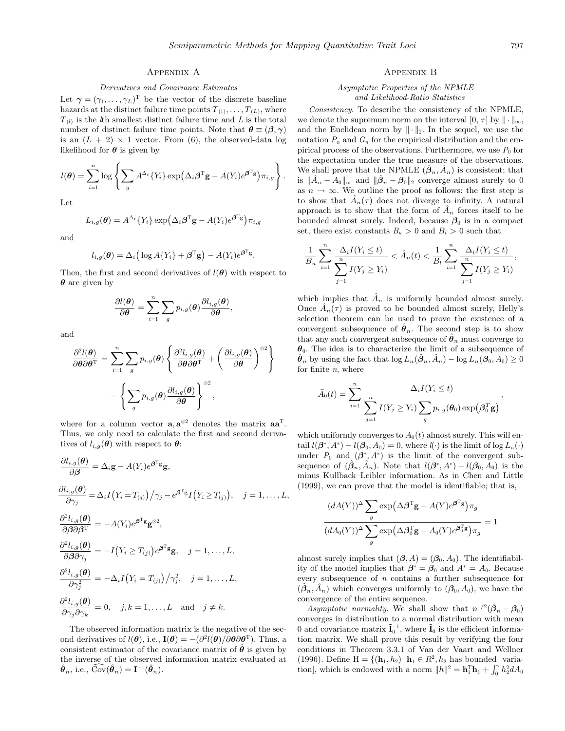# Appendix A

#### Derivatives and Covariance Estimates

Let  $\boldsymbol{\gamma} = (\gamma_1, \ldots, \gamma_L)^T$  be the vector of the discrete baseline hazards at the distinct failure time points  $T_{(1)}, \ldots, T_{(L)}$ , where  $T_{(l)}$  is the *l*th smallest distinct failure time and *L* is the total number of distinct failure time points. Note that  $\theta \equiv (\beta, \gamma)$ is an  $(L + 2) \times 1$  vector. From (6), the observed-data log likelihood for *θ* is given by

$$
l(\boldsymbol{\theta}) = \sum_{i=1}^{n} \log \left\{ \sum_{g} A^{\Delta_i} \{ Y_i \} \exp \left( \Delta_i \boldsymbol{\beta}^{\mathrm{T}} \mathbf{g} - A(Y_i) e^{\boldsymbol{\beta}^{\mathrm{T}} \mathbf{g}} \right) \pi_{i,g} \right\}.
$$

Let

$$
L_{i,g}(\boldsymbol{\theta}) = A^{\Delta_i} \{ Y_i \} \exp \left( \Delta_i \boldsymbol{\beta}^{\mathrm{T}} \mathbf{g} - A(Y_i) e^{\boldsymbol{\beta}^{\mathrm{T}} \mathbf{g}} \right) \pi_{i,g}
$$

and

$$
l_{i,g}(\boldsymbol{\theta}) = \Delta_i \big( \log A \{ Y_i \} + \boldsymbol{\beta}^{\mathrm{T}} \mathbf{g} \big) - A(Y_i) e^{\boldsymbol{\beta}^{\mathrm{T}} \mathbf{g}}.
$$

Then, the first and second derivatives of  $l(\theta)$  with respect to *θ* are given by

$$
\frac{\partial l(\boldsymbol{\theta})}{\partial \boldsymbol{\theta}} = \sum_{i=1}^{n} \sum_{g} p_{i,g}(\boldsymbol{\theta}) \frac{\partial l_{i,g}(\boldsymbol{\theta})}{\partial \boldsymbol{\theta}},
$$

and

$$
\frac{\partial^2 l(\boldsymbol{\theta})}{\partial \boldsymbol{\theta} \partial \boldsymbol{\theta}^{\mathrm{T}}} = \sum_{i=1}^n \sum_g p_{i,g}(\boldsymbol{\theta}) \left\{ \frac{\partial^2 l_{i,g}(\boldsymbol{\theta})}{\partial \boldsymbol{\theta} \partial \boldsymbol{\theta}^{\mathrm{T}}} + \left( \frac{\partial l_{i,g}(\boldsymbol{\theta})}{\partial \boldsymbol{\theta}} \right)^{\otimes 2} \right\}
$$

$$
- \left\{ \sum_g p_{i,g}(\boldsymbol{\theta}) \frac{\partial l_{i,g}(\boldsymbol{\theta})}{\partial \boldsymbol{\theta}} \right\}^{\otimes 2},
$$

where for a column vector  $\mathbf{a}, \mathbf{a}^{\otimes 2}$  denotes the matrix  $\mathbf{a} \mathbf{a}^{\mathrm{T}}$ . Thus, we only need to calculate the first and second derivatives of  $l_{i,q}(\boldsymbol{\theta})$  with respect to  $\boldsymbol{\theta}$ :

$$
\frac{\partial l_{i,g}(\boldsymbol{\theta})}{\partial \beta} = \Delta_i \mathbf{g} - A(Y_i) e^{\boldsymbol{\beta}^{\mathrm{T}} \mathbf{g}},
$$
  
\n
$$
\frac{\partial l_{i,g}(\boldsymbol{\theta})}{\partial \gamma_j} = \Delta_i I(Y_i = T_{(j)}) / \gamma_j - e^{\boldsymbol{\beta}^{\mathrm{T}} \mathbf{g}} I(Y_i \ge T_{(j)}), \quad j = 1, ..., L,
$$
  
\n
$$
\frac{\partial^2 l_{i,g}(\boldsymbol{\theta})}{\partial \beta \partial \beta^{\mathrm{T}}} = -A(Y_i) e^{\boldsymbol{\beta}^{\mathrm{T}} \mathbf{g}} \mathbf{g}^{\otimes 2},
$$
  
\n
$$
\frac{\partial^2 l_{i,g}(\boldsymbol{\theta})}{\partial \beta \partial \gamma_j} = -I(Y_i \ge T_{(j)}) e^{\boldsymbol{\beta}^{\mathrm{T}} \mathbf{g}} \mathbf{g}, \quad j = 1, ..., L,
$$
  
\n
$$
\frac{\partial^2 l_{i,g}(\boldsymbol{\theta})}{\partial \gamma_j^2} = -\Delta_i I(Y_i = T_{(j)}) / \gamma_j^2, \quad j = 1, ..., L,
$$
  
\n
$$
\frac{\partial^2 l_{i,g}(\boldsymbol{\theta})}{\partial \gamma_j \partial \gamma_k} = 0, \quad j, k = 1, ..., L \quad \text{and} \quad j \neq k.
$$

The observed information matrix is the negative of the second derivatives of  $l(\theta)$ , i.e.,  $\mathbf{I}(\theta) = -\left(\frac{\partial^2 l(\theta)}{\partial \theta \partial \theta^T}\right)$ . Thus, a consistent estimator of the covariance matrix of  $\ddot{\theta}$  is given by the inverse of the observed information matrix evaluated at  $\hat{\boldsymbol{\theta}}_n$ , i.e.,  $\overline{\text{Cov}}(\hat{\boldsymbol{\theta}}_n) = \mathbf{I}^{-1}(\hat{\boldsymbol{\theta}}_n)$ .

# Appendix B

#### Asymptotic Properties of the NPMLE and Likelihood-Ratio Statistics

Consistency. To describe the consistency of the NPMLE, we denote the supremum norm on the interval  $[0, \tau]$  by  $\|\cdot\|_{\infty}$ , and the Euclidean norm by  $\|\cdot\|_2$ . In the sequel, we use the notation  $P_n$  and  $G_n$  for the empirical distribution and the empirical process of the observations. Furthermore, we use  $P_0$  for the expectation under the true measure of the observations. We shall prove that the NPMLE  $(\beta_n, \tilde{A}_n)$  is consistent; that is  $\|\hat{A}_n - A_0\|_{\infty}$  and  $\|\hat{\beta}_n - \beta_0\|_2$  converge almost surely to 0 as  $n \to \infty$ . We outline the proof as follows: the first step is to show that  $\ddot{A}_n(\tau)$  does not diverge to infinity. A natural approach is to show that the form of  $A_n$  forces itself to be bounded almost surely. Indeed, because  $\beta_0$  is in a compact set, there exist constants  $B_u > 0$  and  $B_l > 0$  such that

$$
\frac{1}{B_u} \sum_{i=1}^n \frac{\Delta_i I(Y_i \le t)}{\sum_{j=1}^n I(Y_j \ge Y_i)} < \hat{A}_n(t) < \frac{1}{B_l} \sum_{i=1}^n \frac{\Delta_i I(Y_i \le t)}{\sum_{j=1}^n I(Y_j \ge Y_i)},
$$

which implies that  $\hat{A}_n$  is uniformly bounded almost surely. Once  $\tilde{A}_n(\tau)$  is proved to be bounded almost surely, Helly's selection theorem can be used to prove the existence of a convergent subsequence of  $\hat{\theta}_n$ . The second step is to show that any such convergent subsequence of  $\hat{\theta}_n$  must converge to *θ*0. The idea is to characterize the limit of a subsequence of  $\hat{\theta}_n$  by using the fact that  $\log L_n(\hat{\beta}_n, \hat{A}_n) - \log L_n(\beta_0, \bar{A}_0) \ge 0$ for finite n, where

$$
\bar{A}_0(t) = \sum_{i=1}^n \frac{\Delta_i I(Y_i \le t)}{\sum_{j=1}^n I(Y_j \ge Y_i) \sum_g p_{i,g}(\boldsymbol{\theta}_0) \exp(\boldsymbol{\beta}_0^T \mathbf{g})},
$$

which uniformly converges to  $A_0(t)$  almost surely. This will entail  $l(\boldsymbol{\beta}^*, A^*) - l(\boldsymbol{\beta}_0, A_0) = 0$ , where  $l(\cdot)$  is the limit of  $\log L_n(\cdot)$ under  $P_0$  and  $(\beta^*, A^*)$  is the limit of the convergent subsequence of  $(\hat{\beta}_n, \hat{A}_n)$ . Note that  $l(\beta^*, A^*) - l(\beta_0, A_0)$  is the minus Kullback–Leibler information. As in Chen and Little (1999), we can prove that the model is identifiable; that is,

$$
\frac{(dA(Y))^{\Delta} \sum_{g} \exp(\Delta \beta^{T} g - A(Y)e^{\beta^{T}g}) \pi_{g}}{(dA_{0}(Y))^{\Delta} \sum_{g} \exp(\Delta \beta_{0}^{T} g - A_{0}(Y)e^{\beta_{0}^{T}g}) \pi_{g}} = 1
$$

almost surely implies that  $(\beta, A) = (\beta_0, A_0)$ . The identifiability of the model implies that  $\beta^* = \beta_0$  and  $A^* = A_0$ . Because every subsequence of  $n$  contains a further subsequence for  $(\hat{\beta}_n, \hat{A}_n)$  which converges uniformly to  $(\beta_0, A_0)$ , we have the convergence of the entire sequence.

Asymptotic normality. We shall show that  $n^{1/2}(\hat{\beta}_n - \beta_0)$ converges in distribution to a normal distribution with mean 0 and covariance matrix  $\tilde{\mathbf{I}}_0^{-1}$ , where  $\tilde{\mathbf{I}}_0$  is the efficient information matrix. We shall prove this result by verifying the four conditions in Theorem 3.3.1 of Van der Vaart and Wellner (1996). Define  $H = \{(h_1, h_2) | h_1 \in R^2, h_2 \text{ has bounded } \text{variance}\}\$ tion], which is endowed with a norm  $||h||^2 = \mathbf{h}_1^{\mathrm{T}} \mathbf{h}_1 + \int_0^{\tau} h_2^2 dA_0$